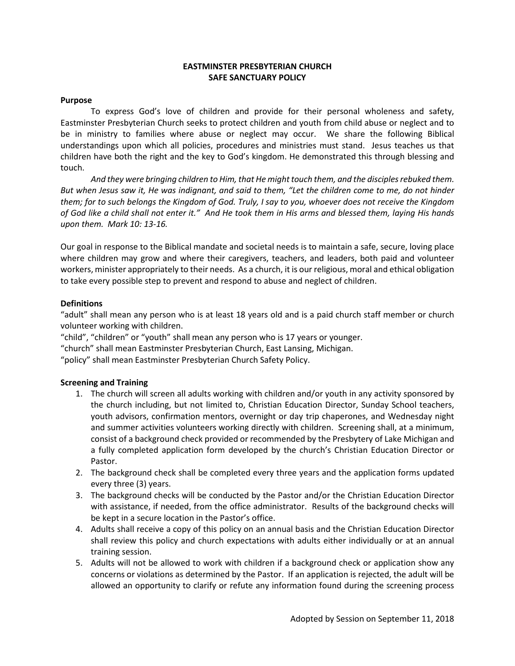## **EASTMINSTER PRESBYTERIAN CHURCH SAFE SANCTUARY POLICY**

#### **Purpose**

To express God's love of children and provide for their personal wholeness and safety, Eastminster Presbyterian Church seeks to protect children and youth from child abuse or neglect and to be in ministry to families where abuse or neglect may occur. We share the following Biblical understandings upon which all policies, procedures and ministries must stand. Jesus teaches us that children have both the right and the key to God's kingdom. He demonstrated this through blessing and touch.

*And they were bringing children to Him, that He might touch them, and the disciples rebuked them. But when Jesus saw it, He was indignant, and said to them, "Let the children come to me, do not hinder them; for to such belongs the Kingdom of God. Truly, I say to you, whoever does not receive the Kingdom of God like a child shall not enter it." And He took them in His arms and blessed them, laying His hands upon them. Mark 10: 13-16.*

Our goal in response to the Biblical mandate and societal needs is to maintain a safe, secure, loving place where children may grow and where their caregivers, teachers, and leaders, both paid and volunteer workers, minister appropriately to their needs. As a church, it is our religious, moral and ethical obligation to take every possible step to prevent and respond to abuse and neglect of children.

#### **Definitions**

"adult" shall mean any person who is at least 18 years old and is a paid church staff member or church volunteer working with children.

"child", "children" or "youth" shall mean any person who is 17 years or younger.

"church" shall mean Eastminster Presbyterian Church, East Lansing, Michigan.

"policy" shall mean Eastminster Presbyterian Church Safety Policy.

## **Screening and Training**

- 1. The church will screen all adults working with children and/or youth in any activity sponsored by the church including, but not limited to, Christian Education Director, Sunday School teachers, youth advisors, confirmation mentors, overnight or day trip chaperones, and Wednesday night and summer activities volunteers working directly with children. Screening shall, at a minimum, consist of a background check provided or recommended by the Presbytery of Lake Michigan and a fully completed application form developed by the church's Christian Education Director or Pastor.
- 2. The background check shall be completed every three years and the application forms updated every three (3) years.
- 3. The background checks will be conducted by the Pastor and/or the Christian Education Director with assistance, if needed, from the office administrator. Results of the background checks will be kept in a secure location in the Pastor's office.
- 4. Adults shall receive a copy of this policy on an annual basis and the Christian Education Director shall review this policy and church expectations with adults either individually or at an annual training session.
- 5. Adults will not be allowed to work with children if a background check or application show any concerns or violations as determined by the Pastor. If an application is rejected, the adult will be allowed an opportunity to clarify or refute any information found during the screening process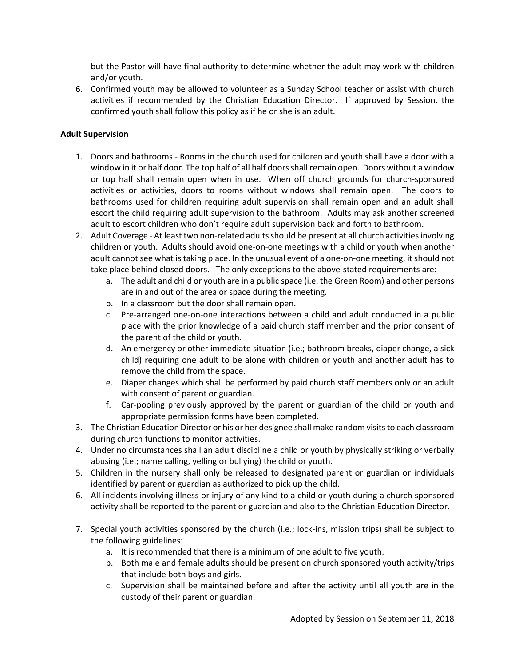but the Pastor will have final authority to determine whether the adult may work with children and/or youth.

6. Confirmed youth may be allowed to volunteer as a Sunday School teacher or assist with church activities if recommended by the Christian Education Director. If approved by Session, the confirmed youth shall follow this policy as if he or she is an adult.

# **Adult Supervision**

- 1. Doors and bathrooms Rooms in the church used for children and youth shall have a door with a window in it or half door. The top half of all half doors shall remain open. Doors without a window or top half shall remain open when in use. When off church grounds for church-sponsored activities or activities, doors to rooms without windows shall remain open. The doors to bathrooms used for children requiring adult supervision shall remain open and an adult shall escort the child requiring adult supervision to the bathroom. Adults may ask another screened adult to escort children who don't require adult supervision back and forth to bathroom.
- 2. Adult Coverage At least two non-related adults should be present at all church activities involving children or youth. Adults should avoid one-on-one meetings with a child or youth when another adult cannot see what is taking place. In the unusual event of a one-on-one meeting, it should not take place behind closed doors. The only exceptions to the above-stated requirements are:
	- a. The adult and child or youth are in a public space (i.e. the Green Room) and other persons are in and out of the area or space during the meeting.
	- b. In a classroom but the door shall remain open.
	- c. Pre-arranged one-on-one interactions between a child and adult conducted in a public place with the prior knowledge of a paid church staff member and the prior consent of the parent of the child or youth.
	- d. An emergency or other immediate situation (i.e.; bathroom breaks, diaper change, a sick child) requiring one adult to be alone with children or youth and another adult has to remove the child from the space.
	- e. Diaper changes which shall be performed by paid church staff members only or an adult with consent of parent or guardian.
	- f. Car-pooling previously approved by the parent or guardian of the child or youth and appropriate permission forms have been completed.
- 3. The Christian Education Director or his or her designee shall make random visits to each classroom during church functions to monitor activities.
- 4. Under no circumstances shall an adult discipline a child or youth by physically striking or verbally abusing (i.e.; name calling, yelling or bullying) the child or youth.
- 5. Children in the nursery shall only be released to designated parent or guardian or individuals identified by parent or guardian as authorized to pick up the child.
- 6. All incidents involving illness or injury of any kind to a child or youth during a church sponsored activity shall be reported to the parent or guardian and also to the Christian Education Director.
- 7. Special youth activities sponsored by the church (i.e.; lock-ins, mission trips) shall be subject to the following guidelines:
	- a. It is recommended that there is a minimum of one adult to five youth.
	- b. Both male and female adults should be present on church sponsored youth activity/trips that include both boys and girls.
	- c. Supervision shall be maintained before and after the activity until all youth are in the custody of their parent or guardian.